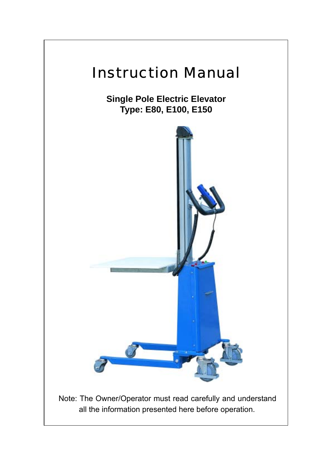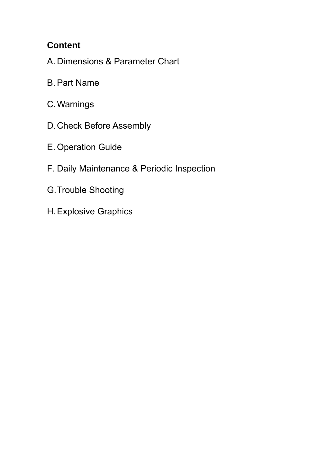# **Content**

A. Dimensions & Parameter Chart

- B. Part Name
- C. Warnings
- D. Check Before Assembly
- E. Operation Guide
- F. Daily Maintenance & Periodic Inspection
- G. Trouble Shooting
- H. Explosive Graphics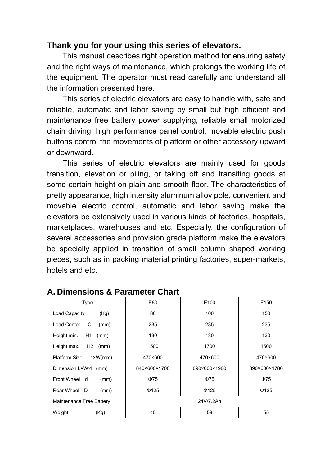#### **Thank you for your using this series of elevators.**

This manual describes right operation method for ensuring safety and the right ways of maintenance, which prolongs the working life of the equipment. The operator must read carefully and understand all the information presented here.

This series of electric elevators are easy to handle with, safe and reliable, automatic and labor saving by small but high efficient and maintenance free battery power supplying, reliable small motorized chain driving, high performance panel control; movable electric push buttons control the movements of platform or other accessory upward or downward.

This series of electric elevators are mainly used for goods transition, elevation or piling, or taking off and transiting goods at some certain height on plain and smooth floor. The characteristics of pretty appearance, high intensity aluminum alloy pole, convenient and movable electric control, automatic and labor saving make the elevators be extensively used in various kinds of factories, hospitals, marketplaces, warehouses and etc. Especially, the configuration of several accessories and provision grade platform make the elevators be specially applied in transition of small column shaped working pieces, such as in packing material printing factories, super-markets, hotels and etc.

| <b>Type</b>               | E80          | E100         | E <sub>150</sub> |
|---------------------------|--------------|--------------|------------------|
| Load Capacity<br>(Kg)     | 80           | 100          | 150              |
| Load Center<br>C<br>(mm)  | 235          | 235          | 235              |
| Height min.<br>H1<br>(mm) | 130          | 130          | 130              |
| Height max.<br>$H2$ (mm)  | 1500         | 1700         | 1500             |
| Platform Size L1×W(mm)    | 470×600      | 470×600      | 470×600          |
| Dimension L×W×H (mm)      | 840×600×1700 | 890×600×1980 | 890×600×1780     |
| Front Wheel d<br>(mm)     | $\Phi$ 75    | $\Phi$ 75    | $\Phi$ 75        |
| Rear Wheel<br>D<br>(mm)   | $\Phi$ 125   | $\Phi$ 125   | $\Phi$ 125       |
| Maintenance Free Battery  |              | 24V/7.2Ah    |                  |
| Weight<br>(Kg)            | 45           | 58           | 55               |

#### **A. Dimensions & Parameter Chart**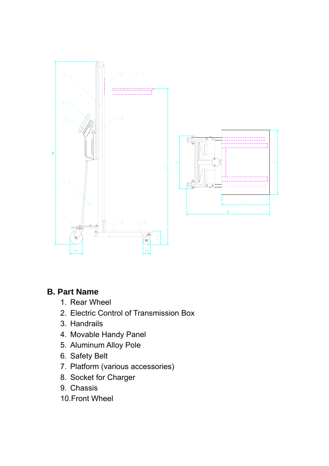

#### **B. Part Name**

- 1. Rear Wheel
- 2. Electric Control of Transmission Box
- 3. Handrails
- 4. Movable Handy Panel
- 5. Aluminum Alloy Pole
- 6. Safety Belt
- 7. Platform (various accessories)
- 8. Socket for Charger
- 9. Chassis
- 10.Front Wheel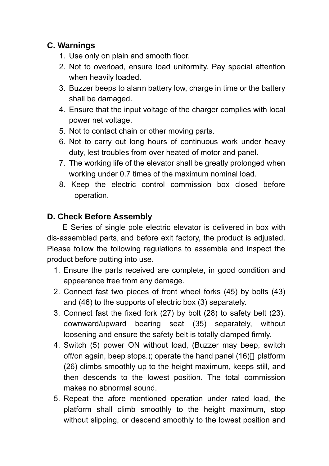### **C. Warnings**

- 1. Use only on plain and smooth floor.
- 2. Not to overload, ensure load uniformity. Pay special attention when heavily loaded.
- 3. Buzzer beeps to alarm battery low, charge in time or the battery shall be damaged.
- 4. Ensure that the input voltage of the charger complies with local power net voltage.
- 5. Not to contact chain or other moving parts.
- 6. Not to carry out long hours of continuous work under heavy duty, lest troubles from over heated of motor and panel.
- 7. The working life of the elevator shall be greatly prolonged when working under 0.7 times of the maximum nominal load.
- 8. Keep the electric control commission box closed before operation.

## **D. Check Before Assembly**

E Series of single pole electric elevator is delivered in box with dis-assembled parts, and before exit factory, the product is adjusted. Please follow the following regulations to assemble and inspect the product before putting into use.

- 1. Ensure the parts received are complete, in good condition and appearance free from any damage.
- 2. Connect fast two pieces of front wheel forks (45) by bolts (43) and (46) to the supports of electric box (3) separately.
- 3. Connect fast the fixed fork (27) by bolt (28) to safety belt (23), downward/upward bearing seat (35) separately, without loosening and ensure the safety belt is totally clamped firmly.
- 4. Switch (5) power ON without load, (Buzzer may beep, switch off/on again, beep stops.); operate the hand panel (16) platform (26) climbs smoothly up to the height maximum, keeps still, and then descends to the lowest position. The total commission makes no abnormal sound.
- 5. Repeat the afore mentioned operation under rated load, the platform shall climb smoothly to the height maximum, stop without slipping, or descend smoothly to the lowest position and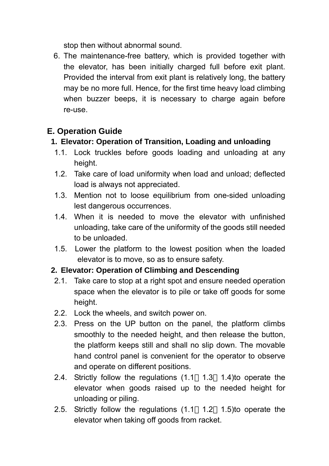stop then without abnormal sound.

6. The maintenance-free battery, which is provided together with the elevator, has been initially charged full before exit plant. Provided the interval from exit plant is relatively long, the battery may be no more full. Hence, for the first time heavy load climbing when buzzer beeps, it is necessary to charge again before re-use.

## **E. Operation Guide**

### **1. Elevator: Operation of Transition, Loading and unloading**

- 1.1. Lock truckles before goods loading and unloading at any height.
- 1.2. Take care of load uniformity when load and unload; deflected load is always not appreciated.
- 1.3. Mention not to loose equilibrium from one-sided unloading lest dangerous occurrences.
- 1.4. When it is needed to move the elevator with unfinished unloading, take care of the uniformity of the goods still needed to be unloaded.
- 1.5. Lower the platform to the lowest position when the loaded elevator is to move, so as to ensure safety.

#### **2. Elevator: Operation of Climbing and Descending**

- 2.1. Take care to stop at a right spot and ensure needed operation space when the elevator is to pile or take off goods for some height.
- 2.2. Lock the wheels, and switch power on.
- 2.3. Press on the UP button on the panel, the platform climbs smoothly to the needed height, and then release the button, the platform keeps still and shall no slip down. The movable hand control panel is convenient for the operator to observe and operate on different positions.
- 2.4. Strictly follow the regulations (1.1 1.3 1.4)to operate the elevator when goods raised up to the needed height for unloading or piling.
- 2.5. Strictly follow the regulations (1.1 1.2 1.5)to operate the elevator when taking off goods from racket.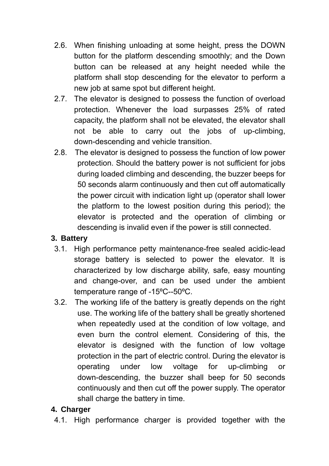- 2.6. When finishing unloading at some height, press the DOWN button for the platform descending smoothly; and the Down button can be released at any height needed while the platform shall stop descending for the elevator to perform a new job at same spot but different height.
- 2.7. The elevator is designed to possess the function of overload protection. Whenever the load surpasses 25% of rated capacity, the platform shall not be elevated, the elevator shall not be able to carry out the jobs of up-climbing, down-descending and vehicle transition.
- 2.8. The elevator is designed to possess the function of low power protection. Should the battery power is not sufficient for jobs during loaded climbing and descending, the buzzer beeps for 50 seconds alarm continuously and then cut off automatically the power circuit with indication light up (operator shall lower the platform to the lowest position during this period); the elevator is protected and the operation of climbing or descending is invalid even if the power is still connected.

#### **3. Battery**

- 3.1. High performance petty maintenance-free sealed acidic-lead storage battery is selected to power the elevator. It is characterized by low discharge ability, safe, easy mounting and change-over, and can be used under the ambient temperature range of -15ºC--50ºC.
- 3.2. The working life of the battery is greatly depends on the right use. The working life of the battery shall be greatly shortened when repeatedly used at the condition of low voltage, and even burn the control element. Considering of this, the elevator is designed with the function of low voltage protection in the part of electric control. During the elevator is operating under low voltage for up-climbing or down-descending, the buzzer shall beep for 50 seconds continuously and then cut off the power supply. The operator shall charge the battery in time.

#### **4. Charger**

4.1. High performance charger is provided together with the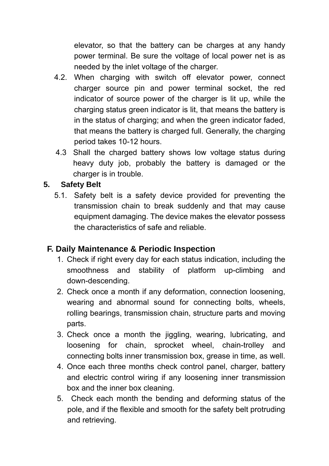elevator, so that the battery can be charges at any handy power terminal. Be sure the voltage of local power net is as needed by the inlet voltage of the charger.

- 4.2. When charging with switch off elevator power, connect charger source pin and power terminal socket, the red indicator of source power of the charger is lit up, while the charging status green indicator is lit, that means the battery is in the status of charging; and when the green indicator faded, that means the battery is charged full. Generally, the charging period takes 10-12 hours.
- 4.3 Shall the charged battery shows low voltage status during heavy duty job, probably the battery is damaged or the charger is in trouble.

#### **5. Safety Belt**

5.1. Safety belt is a safety device provided for preventing the transmission chain to break suddenly and that may cause equipment damaging. The device makes the elevator possess the characteristics of safe and reliable.

#### **F. Daily Maintenance & Periodic Inspection**

- 1. Check if right every day for each status indication, including the smoothness and stability of platform up-climbing and down-descending.
- 2. Check once a month if any deformation, connection loosening, wearing and abnormal sound for connecting bolts, wheels, rolling bearings, transmission chain, structure parts and moving parts.
- 3. Check once a month the jiggling, wearing, lubricating, and loosening for chain, sprocket wheel, chain-trolley and connecting bolts inner transmission box, grease in time, as well.
- 4. Once each three months check control panel, charger, battery and electric control wiring if any loosening inner transmission box and the inner box cleaning.
- 5. Check each month the bending and deforming status of the pole, and if the flexible and smooth for the safety belt protruding and retrieving.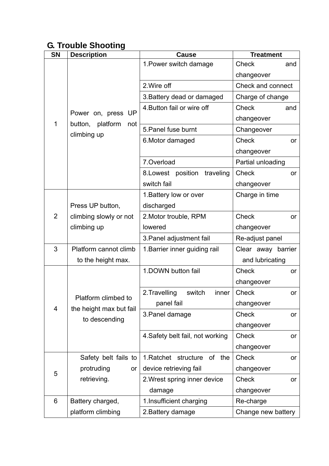# **G. Trouble Shooting**

| <b>SN</b>      | <b>Description</b>                                         | <b>Cause</b>                      | <b>Treatment</b>    |
|----------------|------------------------------------------------------------|-----------------------------------|---------------------|
|                |                                                            | 1. Power switch damage            | Check<br>and        |
|                | <b>UP</b><br>Power on, press<br>button,<br>platform<br>not |                                   | changeover          |
|                |                                                            | 2. Wire off                       | Check and connect   |
|                |                                                            | 3. Battery dead or damaged        | Charge of change    |
|                |                                                            | 4. Button fail or wire off        | <b>Check</b><br>and |
| $\mathbf 1$    |                                                            |                                   | changeover          |
|                | climbing up                                                | 5. Panel fuse burnt               | Changeover          |
|                |                                                            | 6. Motor damaged                  | <b>Check</b><br>or  |
|                |                                                            |                                   | changeover          |
|                |                                                            | 7.Overload                        | Partial unloading   |
|                |                                                            | 8.Lowest position<br>traveling    | <b>Check</b><br>or  |
|                |                                                            | switch fail                       | changeover          |
|                |                                                            | 1. Battery low or over            | Charge in time      |
|                | Press UP button,                                           | discharged                        |                     |
| $\overline{2}$ | climbing slowly or not<br>climbing up                      | 2. Motor trouble, RPM             | <b>Check</b><br>or  |
|                |                                                            | lowered                           | changeover          |
|                |                                                            | 3. Panel adjustment fail          | Re-adjust panel     |
| 3              | Platform cannot climb                                      | 1. Barrier inner guiding rail     | Clear away barrier  |
|                | to the height max.                                         |                                   | and lubricating     |
|                |                                                            | 1.DOWN button fail                | <b>Check</b><br>or  |
|                |                                                            |                                   | changeover          |
|                | Platform climbed to                                        | 2. Travelling<br>switch<br>inner  | Check<br>or         |
| $\overline{4}$ | the height max but fail                                    | panel fail                        | changeover          |
|                | to descending                                              | 3. Panel damage                   | <b>Check</b><br>or  |
|                |                                                            |                                   | changeover          |
|                |                                                            | 4. Safety belt fail, not working  | <b>Check</b><br>or  |
|                |                                                            |                                   | changeover          |
|                | Safety belt fails to                                       | 1. Ratchet structure<br>of<br>the | <b>Check</b><br>or  |
| 5              | protruding<br>or                                           | device retrieving fail            | changeover          |
|                | retrieving.                                                | 2. Wrest spring inner device      | <b>Check</b><br>or  |
|                |                                                            | damage                            | changeover          |
| 6              | Battery charged,                                           | 1. Insufficient charging          | Re-charge           |
|                | platform climbing                                          | 2. Battery damage                 | Change new battery  |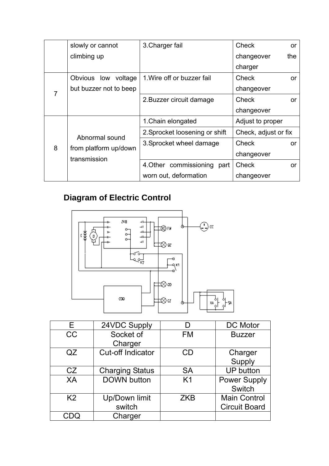|   | slowly or cannot                      | 3. Charger fail                | <b>Check</b>         | <b>or</b> |
|---|---------------------------------------|--------------------------------|----------------------|-----------|
|   | climbing up                           |                                | changeover           | the       |
|   |                                       |                                | charger              |           |
|   | Obvious low voltage                   | 1. Wire off or buzzer fail     | <b>Check</b>         | <b>or</b> |
|   | but buzzer not to beep                |                                | changeover           |           |
|   |                                       | 2. Buzzer circuit damage       | Check                | or        |
|   |                                       |                                | changeover           |           |
|   |                                       | 1. Chain elongated             | Adjust to proper     |           |
|   | Abnormal sound                        | 2. Sprocket loosening or shift | Check, adjust or fix |           |
| 8 |                                       | 3. Sprocket wheel damage       | Check                | or        |
|   | from platform up/down<br>transmission |                                | changeover           |           |
|   |                                       | 4. Other commissioning<br>part | Check                | <b>or</b> |
|   |                                       | worn out, deformation          | changeover           |           |

# **Diagram of Electric Control**



| F              | 24VDC Supply             |                | DC Motor             |
|----------------|--------------------------|----------------|----------------------|
| <b>CC</b>      | Socket of                | <b>FM</b>      | <b>Buzzer</b>        |
|                | Charger                  |                |                      |
| QZ             | <b>Cut-off Indicator</b> | CD             | Charger              |
|                |                          |                | Supply               |
| CZ             | <b>Charging Status</b>   | <b>SA</b>      | <b>UP</b> button     |
| XA             | <b>DOWN button</b>       | K <sub>1</sub> | <b>Power Supply</b>  |
|                |                          |                | <b>Switch</b>        |
| K <sub>2</sub> | Up/Down limit            | <b>ZKB</b>     | <b>Main Control</b>  |
|                | switch                   |                | <b>Circuit Board</b> |
|                | Charger                  |                |                      |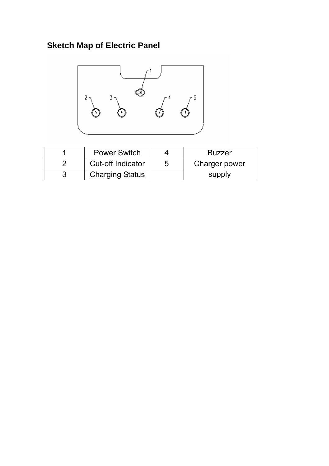# **Sketch Map of Electric Panel**



| <b>Power Switch</b>    | <b>Buzzer</b> |
|------------------------|---------------|
| Cut-off Indicator      | Charger power |
| <b>Charging Status</b> | supply        |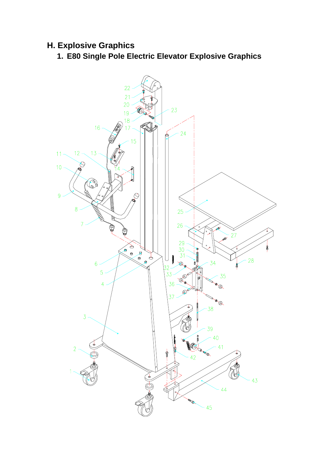# **H. Explosive Graphics**

**1. E80 Single Pole Electric Elevator Explosive Graphics** 

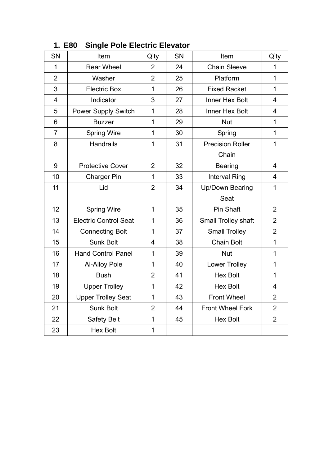| SN                      | Item                         | $Q'$ ty        | SN | Item                    | $Q'$ ty                 |
|-------------------------|------------------------------|----------------|----|-------------------------|-------------------------|
| 1                       | <b>Rear Wheel</b>            | $\overline{2}$ | 24 | <b>Chain Sleeve</b>     | $\overline{1}$          |
| $\overline{2}$          | Washer                       | $\overline{2}$ | 25 | Platform                | $\overline{1}$          |
| 3                       | <b>Electric Box</b>          | $\overline{1}$ | 26 | <b>Fixed Racket</b>     | $\mathbf{1}$            |
| $\overline{\mathbf{4}}$ | Indicator                    | 3              | 27 | Inner Hex Bolt          | $\overline{4}$          |
| 5                       | <b>Power Supply Switch</b>   | $\overline{1}$ | 28 | Inner Hex Bolt          | $\overline{4}$          |
| 6                       | <b>Buzzer</b>                | $\overline{1}$ | 29 | <b>Nut</b>              | $\mathbf 1$             |
| $\overline{7}$          | <b>Spring Wire</b>           | $\mathbf{1}$   | 30 | Spring                  | $\mathbf{1}$            |
| 8                       | <b>Handrails</b>             | 1              | 31 | <b>Precision Roller</b> | $\mathbf{1}$            |
|                         |                              |                |    | Chain                   |                         |
| 9                       | <b>Protective Cover</b>      | $\overline{2}$ | 32 | <b>Bearing</b>          | $\overline{4}$          |
| 10                      | <b>Charger Pin</b>           | $\mathbf{1}$   | 33 | <b>Interval Ring</b>    | $\overline{\mathbf{4}}$ |
| 11                      | Lid                          | $\overline{2}$ | 34 | <b>Up/Down Bearing</b>  | $\overline{1}$          |
|                         |                              |                |    | Seat                    |                         |
| 12                      | <b>Spring Wire</b>           | $\mathbf{1}$   | 35 | Pin Shaft               | $\overline{2}$          |
| 13                      | <b>Electric Control Seat</b> | $\overline{1}$ | 36 | Small Trolley shaft     | $\overline{2}$          |
| 14                      | <b>Connecting Bolt</b>       | $\overline{1}$ | 37 | <b>Small Trolley</b>    | $\overline{2}$          |
| 15                      | <b>Sunk Bolt</b>             | $\overline{4}$ | 38 | <b>Chain Bolt</b>       | $\overline{1}$          |
| 16                      | <b>Hand Control Panel</b>    | $\mathbf{1}$   | 39 | <b>Nut</b>              | $\mathbf{1}$            |
| 17                      | Al-Alloy Pole                | $\overline{1}$ | 40 | <b>Lower Trolley</b>    | $\mathbf{1}$            |
| 18                      | <b>Bush</b>                  | $\overline{2}$ | 41 | <b>Hex Bolt</b>         | $\mathbf{1}$            |
| 19                      | <b>Upper Trolley</b>         | $\mathbf{1}$   | 42 | <b>Hex Bolt</b>         | $\overline{4}$          |
| 20                      | <b>Upper Trolley Seat</b>    | $\mathbf{1}$   | 43 | <b>Front Wheel</b>      | $\overline{2}$          |
| 21                      | Sunk Bolt                    | $\overline{2}$ | 44 | <b>Front Wheel Fork</b> | $\overline{2}$          |
| 22                      | <b>Safety Belt</b>           | $\overline{1}$ | 45 | <b>Hex Bolt</b>         | $\overline{2}$          |
| 23                      | <b>Hex Bolt</b>              | $\mathbf 1$    |    |                         |                         |

#### **1. E80 Single Pole Electric Elevator**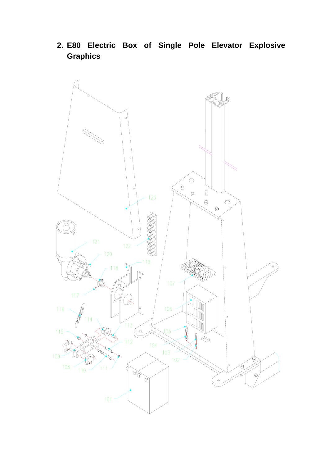**2. E80 Electric Box of Single Pole Elevator Explosive Graphics** 

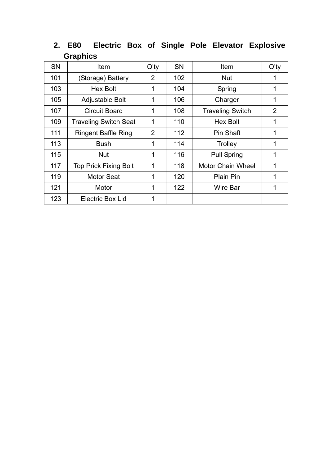| <b>SN</b> | Item                         | $Q'$ ty        | <b>SN</b> | Item                     | $Q'$ ty        |
|-----------|------------------------------|----------------|-----------|--------------------------|----------------|
| 101       | (Storage) Battery            | $\overline{2}$ | 102       | <b>Nut</b>               |                |
| 103       | <b>Hex Bolt</b>              | 1              | 104       | Spring                   |                |
| 105       | Adjustable Bolt              | 1              | 106       | Charger                  | 1              |
| 107       | <b>Circuit Board</b>         | 1              | 108       | <b>Traveling Switch</b>  | $\overline{2}$ |
| 109       | <b>Traveling Switch Seat</b> | 1              | 110       | <b>Hex Bolt</b>          | 1              |
| 111       | <b>Ringent Baffle Ring</b>   | $\overline{2}$ | 112       | Pin Shaft                | 1              |
| 113       | <b>Bush</b>                  | 1              | 114       | <b>Trolley</b>           | 1              |
| 115       | <b>Nut</b>                   | 1              | 116       | <b>Pull Spring</b>       | 1              |
| 117       | <b>Top Prick Fixing Bolt</b> | 1              | 118       | <b>Motor Chain Wheel</b> |                |
| 119       | <b>Motor Seat</b>            | 1              | 120       | <b>Plain Pin</b>         | 1              |
| 121       | Motor                        | 1              | 122       | Wire Bar                 | 1              |
| 123       | Electric Box Lid             | 1              |           |                          |                |

**2. E80 Electric Box of Single Pole Elevator Explosive Graphics**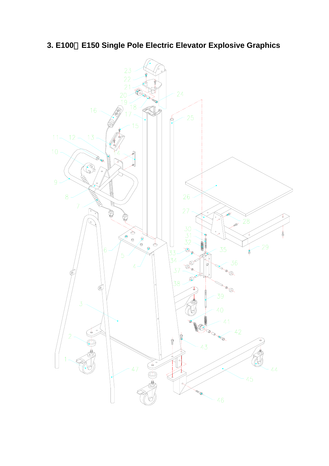**3. E100**、**E150 Single Pole Electric Elevator Explosive Graphics**

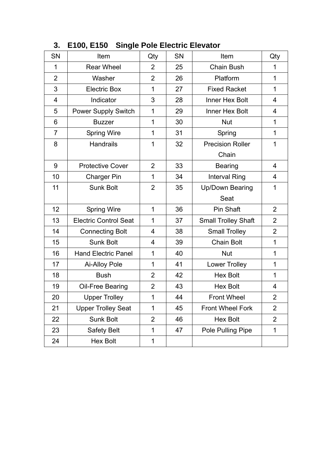| <b>SN</b>      | Item                         | Qty            | <b>SN</b> | Item                       | Qty            |
|----------------|------------------------------|----------------|-----------|----------------------------|----------------|
| 1              | <b>Rear Wheel</b>            | 2              | 25        | <b>Chain Bush</b>          | 1              |
| $\overline{2}$ | Washer                       | $\overline{2}$ | 26        | Platform                   | $\mathbf 1$    |
| 3              | <b>Electric Box</b>          | $\mathbf{1}$   | 27        | <b>Fixed Racket</b>        | $\mathbf{1}$   |
| 4              | Indicator                    | 3              | 28        | Inner Hex Bolt             | 4              |
| 5              | Power Supply Switch          | $\mathbf{1}$   | 29        | Inner Hex Bolt             | 4              |
| 6              | <b>Buzzer</b>                | $\mathbf{1}$   | 30        | <b>Nut</b>                 | $\mathbf 1$    |
| $\overline{7}$ | <b>Spring Wire</b>           | 1              | 31        | Spring                     | $\mathbf{1}$   |
| 8              | <b>Handrails</b>             | $\mathbf{1}$   | 32        | <b>Precision Roller</b>    | 1              |
|                |                              |                |           | Chain                      |                |
| 9              | <b>Protective Cover</b>      | $\overline{2}$ | 33        | <b>Bearing</b>             | 4              |
| 10             | <b>Charger Pin</b>           | $\mathbf{1}$   | 34        | <b>Interval Ring</b>       | 4              |
| 11             | <b>Sunk Bolt</b>             | $\overline{2}$ | 35        | Up/Down Bearing            | 1              |
|                |                              |                |           | Seat                       |                |
| 12             | <b>Spring Wire</b>           | $\mathbf{1}$   | 36        | Pin Shaft                  | $\overline{2}$ |
| 13             | <b>Electric Control Seat</b> | $\mathbf{1}$   | 37        | <b>Small Trolley Shaft</b> | $\overline{2}$ |
| 14             | <b>Connecting Bolt</b>       | 4              | 38        | <b>Small Trolley</b>       | $\overline{2}$ |
| 15             | <b>Sunk Bolt</b>             | $\overline{4}$ | 39        | <b>Chain Bolt</b>          | $\mathbf{1}$   |
| 16             | <b>Hand Electric Panel</b>   | $\mathbf 1$    | 40        | <b>Nut</b>                 | $\mathbf 1$    |
| 17             | <b>Ai-Alloy Pole</b>         | 1              | 41        | <b>Lower Trolley</b>       | 1              |
| 18             | <b>Bush</b>                  | $\overline{2}$ | 42        | <b>Hex Bolt</b>            | $\mathbf{1}$   |
| 19             | Oil-Free Bearing             | $\overline{2}$ | 43        | <b>Hex Bolt</b>            | 4              |
| 20             | Upper Trolley                | $\mathbf 1$    | 44        | <b>Front Wheel</b>         | $\overline{2}$ |
| 21             | <b>Upper Trolley Seat</b>    | 1              | 45        | <b>Front Wheel Fork</b>    | $\overline{2}$ |
| 22             | Sunk Bolt                    | $\overline{2}$ | 46        | <b>Hex Bolt</b>            | $\overline{2}$ |
| 23             | <b>Safety Belt</b>           | 1              | 47        | Pole Pulling Pipe          | 1              |
| 24             | <b>Hex Bolt</b>              | 1              |           |                            |                |

**3. E100, E150 Single Pole Electric Elevator**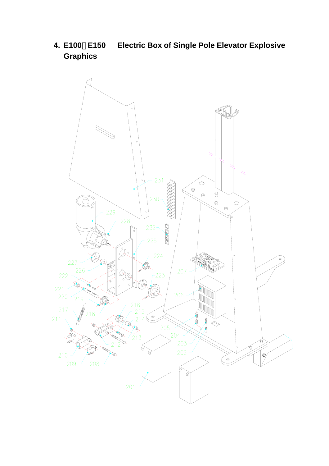**4. E100**、**E150 Electric Box of Single Pole Elevator Explosive Graphics**